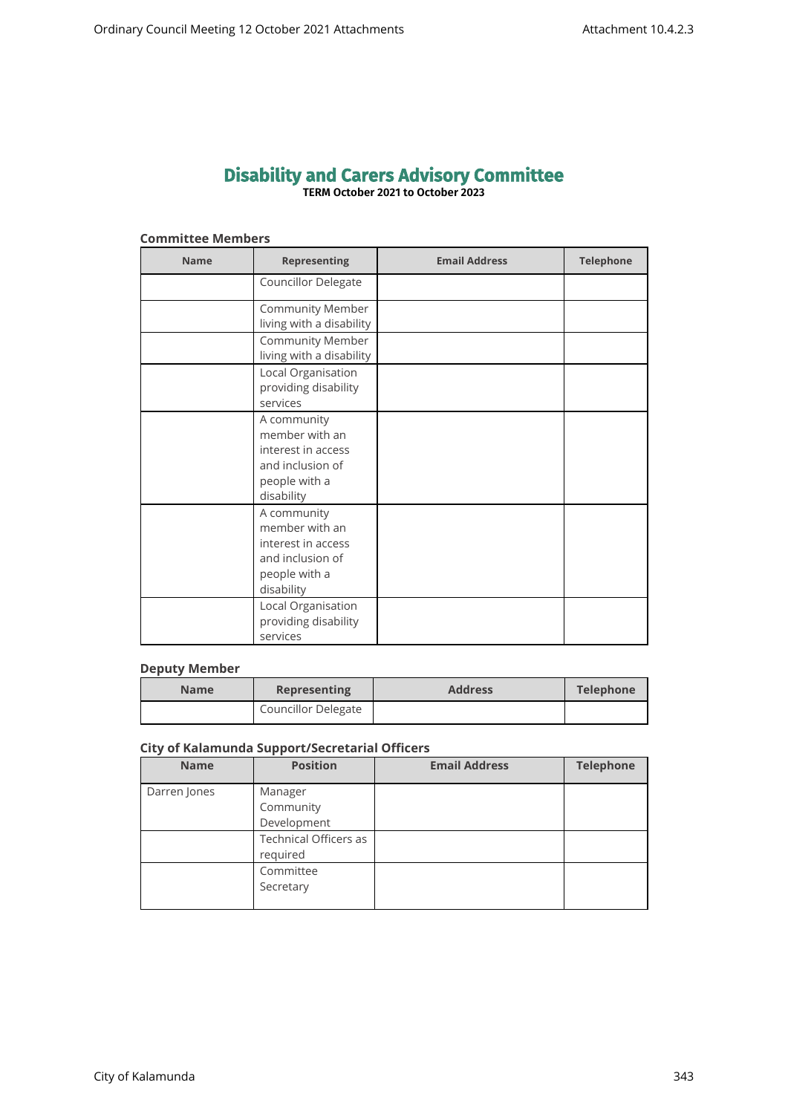# **Disability and Carers Advisory Committee TERM October 2021 to October 2023**

## **Committee Members**

| <b>Name</b> | <b>Representing</b>                                                                                    | <b>Email Address</b> | <b>Telephone</b> |
|-------------|--------------------------------------------------------------------------------------------------------|----------------------|------------------|
|             | Councillor Delegate                                                                                    |                      |                  |
|             | Community Member<br>living with a disability                                                           |                      |                  |
|             | <b>Community Member</b><br>living with a disability                                                    |                      |                  |
|             | Local Organisation<br>providing disability<br>services                                                 |                      |                  |
|             | A community<br>member with an<br>interest in access<br>and inclusion of<br>people with a<br>disability |                      |                  |
|             | A community<br>member with an<br>interest in access<br>and inclusion of<br>people with a<br>disability |                      |                  |
|             | Local Organisation<br>providing disability<br>services                                                 |                      |                  |

## **Deputy Member**

| <b>Name</b> | <b>Representing</b>        | <b>Address</b> | Telephone |
|-------------|----------------------------|----------------|-----------|
|             | <b>Councillor Delegate</b> |                |           |

## **City of Kalamunda Support/Secretarial Officers**

| <b>Name</b>  | <b>Position</b>                          | <b>Email Address</b> | <b>Telephone</b> |
|--------------|------------------------------------------|----------------------|------------------|
| Darren Jones | Manager<br>Community<br>Development      |                      |                  |
|              | <b>Technical Officers as</b><br>required |                      |                  |
|              | Committee<br>Secretary                   |                      |                  |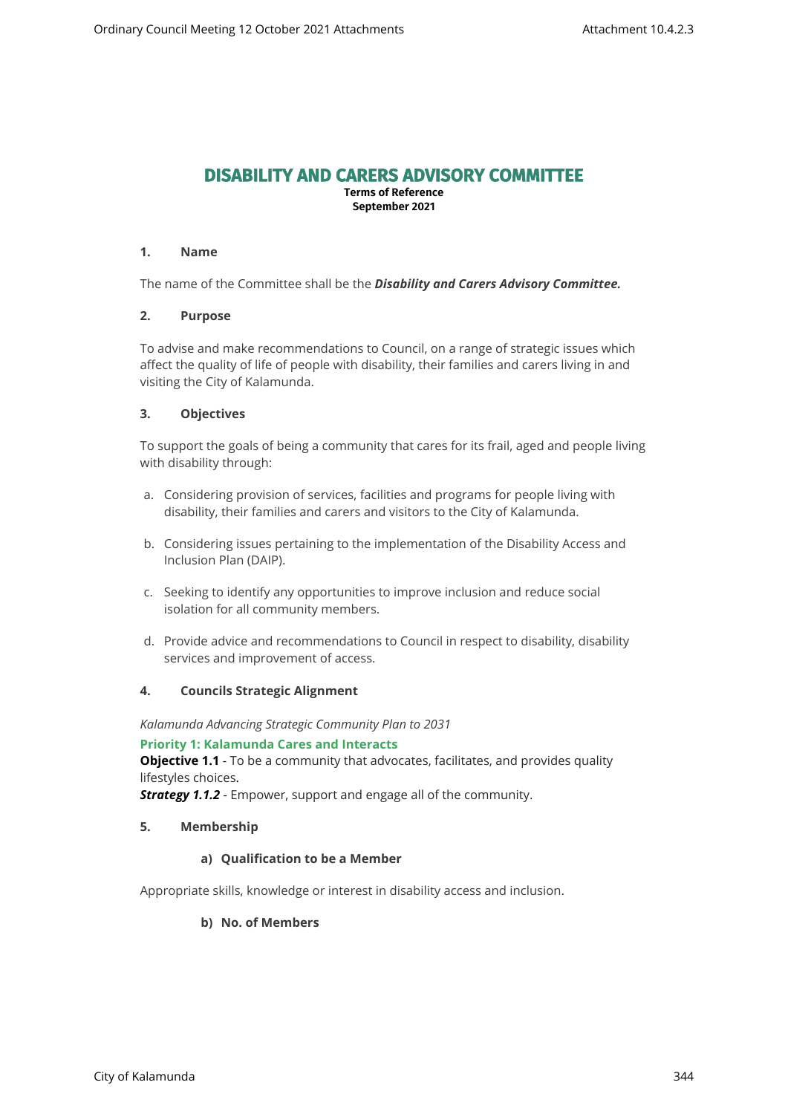# **DISABILITY AND CARERS ADVISORY COMMITTEE**

**Terms of Reference September 2021**

## **1. Name**

The name of the Committee shall be the *Disability and Carers Advisory Committee.*

## **2. Purpose**

To advise and make recommendations to Council, on a range of strategic issues which affect the quality of life of people with disability, their families and carers living in and visiting the City of Kalamunda.

## **3. Objectives**

To support the goals of being a community that cares for its frail, aged and people living with disability through:

- a. Considering provision of services, facilities and programs for people living with disability, their families and carers and visitors to the City of Kalamunda.
- b. Considering issues pertaining to the implementation of the Disability Access and Inclusion Plan (DAIP).
- c. Seeking to identify any opportunities to improve inclusion and reduce social isolation for all community members.
- d. Provide advice and recommendations to Council in respect to disability, disability services and improvement of access.

## **4. Councils Strategic Alignment**

*Kalamunda Advancing Strategic Community Plan to 2031* 

## **Priority 1: Kalamunda Cares and Interacts**

**Objective 1.1** - To be a community that advocates, facilitates, and provides quality lifestyles choices.

*Strategy 1.1.2* - Empower, support and engage all of the community.

## **5. Membership**

## **a) Qualification to be a Member**

Appropriate skills, knowledge or interest in disability access and inclusion.

## **b) No. of Members**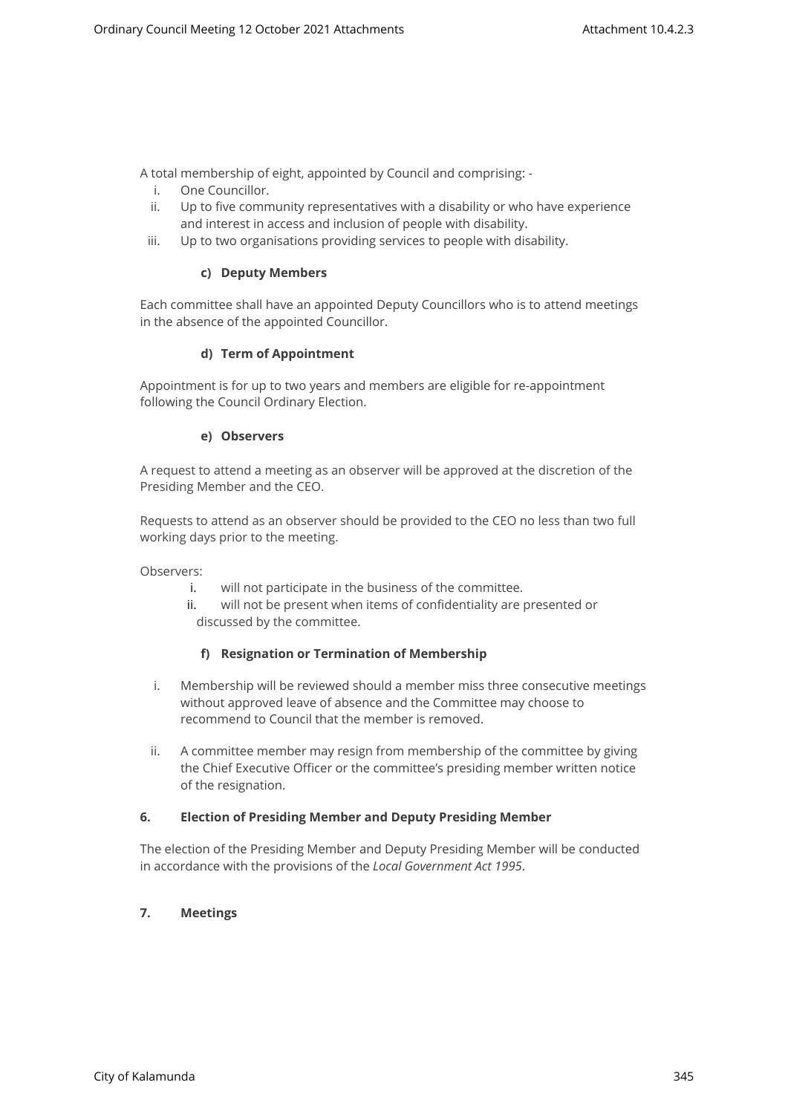A total membership of eight, appointed by Council and comprising: -

- i. One Councillor.
- ii. Up to five community representatives with a disability or who have experience and interest in access and inclusion of people with disability.
- iii. Up to two organisations providing services to people with disability.

## **c) Deputy Members**

Each committee shall have an appointed Deputy Councillors who is to attend meetings in the absence of the appointed Councillor.

## **d) Term of Appointment**

Appointment is for up to two years and members are eligible for re-appointment following the Council Ordinary Election.

## **e) Observers**

A request to attend a meeting as an observer will be approved at the discretion of the Presiding Member and the CEO.

Requests to attend as an observer should be provided to the CEO no less than two full working days prior to the meeting.

Observers:

- i. will not participate in the business of the committee.
- ii. will not be present when items of confidentiality are presented or discussed by the committee.

## **f) Resignation or Termination of Membership**

- i. Membership will be reviewed should a member miss three consecutive meetings without approved leave of absence and the Committee may choose to recommend to Council that the member is removed.
- ii. A committee member may resign from membership of the committee by giving the Chief Executive Officer or the committee's presiding member written notice of the resignation.

## **6. Election of Presiding Member and Deputy Presiding Member**

The election of the Presiding Member and Deputy Presiding Member will be conducted in accordance with the provisions of the *Local Government Act 1995*.

# **7. Meetings**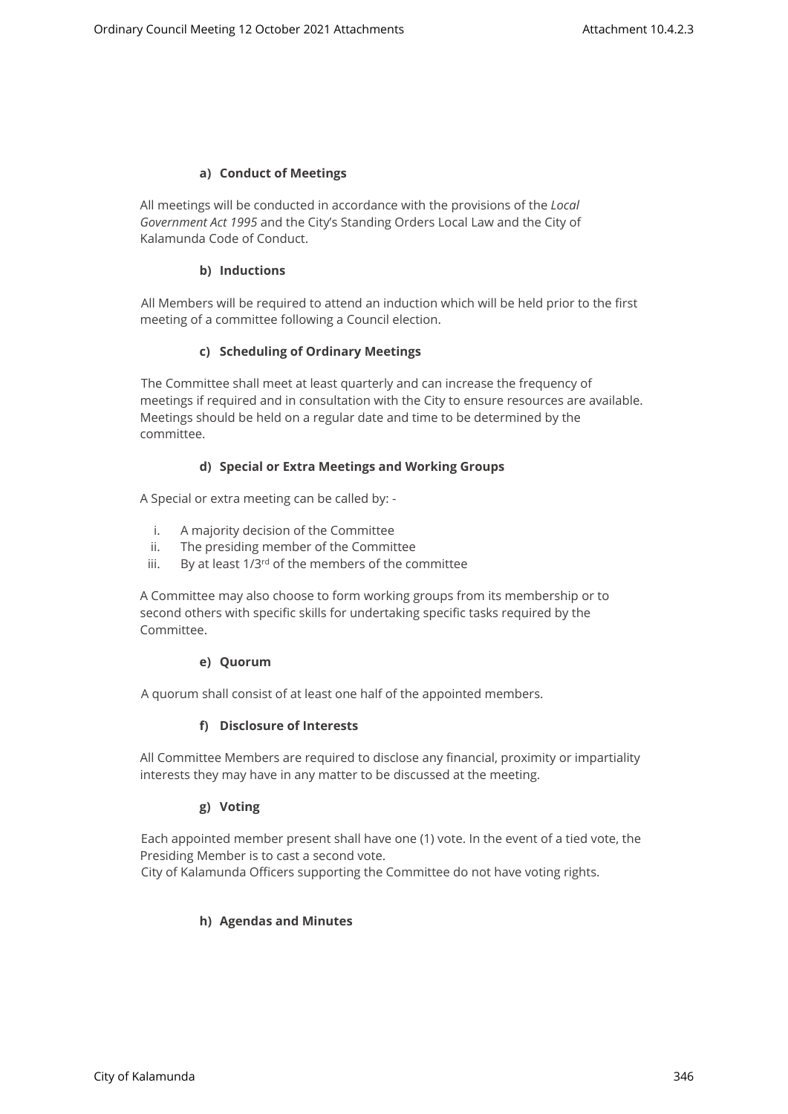## **a) Conduct of Meetings**

All meetings will be conducted in accordance with the provisions of the *Local Government Act 1995* and the City's Standing Orders Local Law and the City of Kalamunda Code of Conduct.

## **b) Inductions**

All Members will be required to attend an induction which will be held prior to the first meeting of a committee following a Council election.

## **c) Scheduling of Ordinary Meetings**

The Committee shall meet at least quarterly and can increase the frequency of meetings if required and in consultation with the City to ensure resources are available. Meetings should be held on a regular date and time to be determined by the committee.

## **d) Special or Extra Meetings and Working Groups**

A Special or extra meeting can be called by: -

- i. A majority decision of the Committee
- ii. The presiding member of the Committee
- iii. By at least  $1/3^{rd}$  of the members of the committee

A Committee may also choose to form working groups from its membership or to second others with specific skills for undertaking specific tasks required by the Committee.

#### **e) Quorum**

A quorum shall consist of at least one half of the appointed members.

## **f) Disclosure of Interests**

All Committee Members are required to disclose any financial, proximity or impartiality interests they may have in any matter to be discussed at the meeting.

## **g) Voting**

Each appointed member present shall have one (1) vote. In the event of a tied vote, the Presiding Member is to cast a second vote.

City of Kalamunda Officers supporting the Committee do not have voting rights.

## **h) Agendas and Minutes**